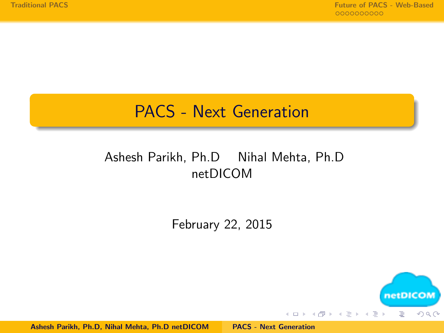# <span id="page-0-0"></span>PACS - Next Generation

#### Ashesh Parikh, Ph.D Nihal Mehta, Ph.D netDICOM

#### February 22, 2015



Ashesh Parikh, Ph.D, Nihal Mehta, Ph.D netDICOM [PACS - Next Generation](#page-34-0)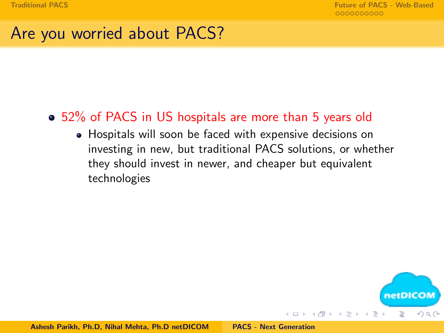## Are you worried about PACS?

#### 52% of PACS in US hospitals are more than 5 years old

Hospitals will soon be faced with expensive decisions on investing in new, but traditional PACS solutions, or whether they should invest in newer, and cheaper but equivalent technologies

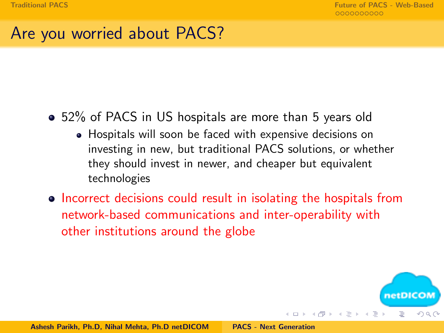# Are you worried about PACS?

#### 52% of PACS in US hospitals are more than 5 years old

- Hospitals will soon be faced with expensive decisions on investing in new, but traditional PACS solutions, or whether they should invest in newer, and cheaper but equivalent technologies
- Incorrect decisions could result in isolating the hospitals from network-based communications and inter-operability with other institutions around the globe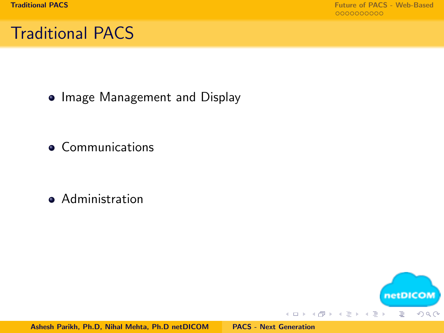# <span id="page-3-0"></span>Traditional PACS

• Image Management and Display

**•** Communications

**•** Administration

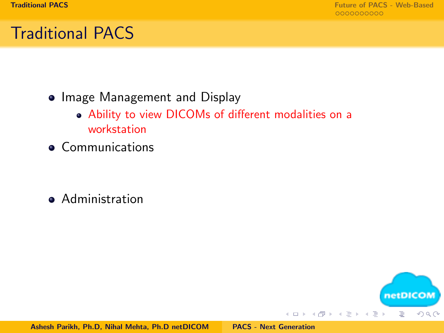netDICOM

 $2Q$ 

 $\equiv$   $\rightarrow$ Ë

**K ロ ▶ K 伊 ▶ K ミ ▶** 

# Traditional PACS

- Image Management and Display
	- Ability to view DICOMs of different modalities on a workstation
- **•** Communications

**•** Administration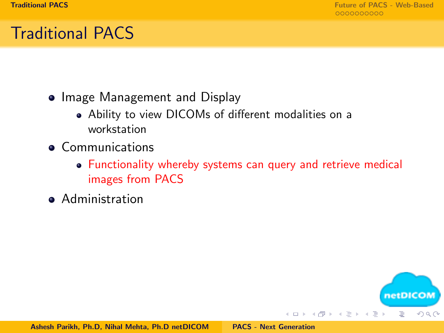netDICON E

 $\Omega$ 

# Traditional PACS

- Image Management and Display
	- Ability to view DICOMs of different modalities on a workstation
- **Communications** 
	- Functionality whereby systems can query and retrieve medical images from PACS

 $\leftarrow$   $\Box$   $\rightarrow$ 

→ 母 →  $\rightarrow$   $\equiv$  $\rightarrow$ 重

**•** Administration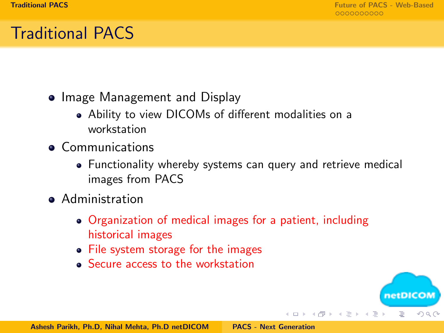netDICO

つのへ

→ 母 →

 $\leftarrow$   $\equiv$ 

# Traditional PACS

- Image Management and Display
	- Ability to view DICOMs of different modalities on a workstation
- **Communications** 
	- Functionality whereby systems can query and retrieve medical images from PACS
- **•** Administration
	- Organization of medical images for a patient, including historical images
	- File system storage for the images
	- Secure access to the workstation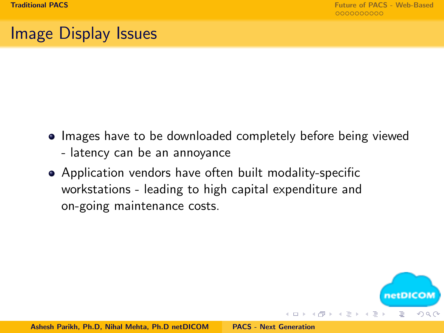netDICOI

つのへ

三

 $\mathcal{A}$  and  $\mathcal{A}$  in  $\mathcal{A}$  . If  $\mathcal{A}$ 

# Image Display Issues

- Images have to be downloaded completely before being viewed - latency can be an annoyance
- Application vendors have often built modality-specific workstations - leading to high capital expenditure and on-going maintenance costs.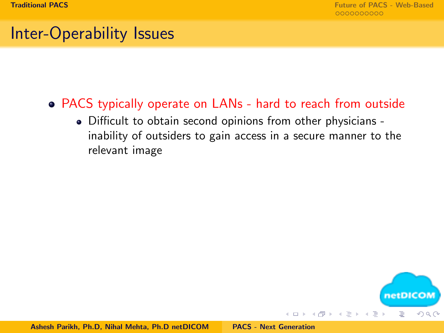# Inter-Operability Issues

#### PACS typically operate on LANs - hard to reach from outside

Difficult to obtain second opinions from other physicians inability of outsiders to gain access in a secure manner to the relevant image

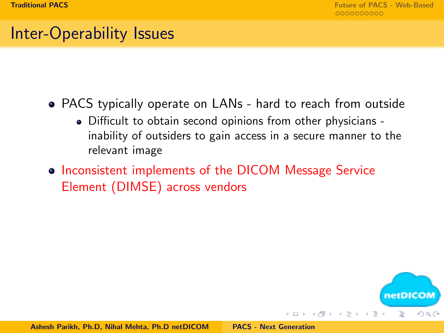netDICOI

 $\Omega$ 

# Inter-Operability Issues

- PACS typically operate on LANs hard to reach from outside
	- Difficult to obtain second opinions from other physicians inability of outsiders to gain access in a secure manner to the relevant image
- Inconsistent implements of the DICOM Message Service Element (DIMSE) across vendors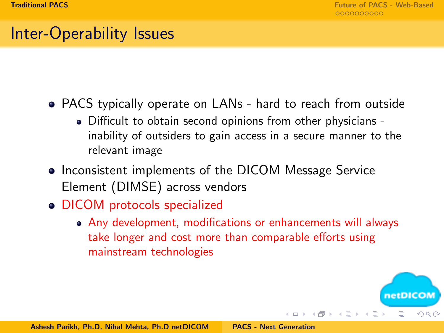# Inter-Operability Issues

- PACS typically operate on LANs hard to reach from outside
	- Difficult to obtain second opinions from other physicians inability of outsiders to gain access in a secure manner to the relevant image
- Inconsistent implements of the DICOM Message Service Element (DIMSE) across vendors
- DICOM protocols specialized
	- Any development, modifications or enhancements will always take longer and cost more than comparable efforts using mainstream technologies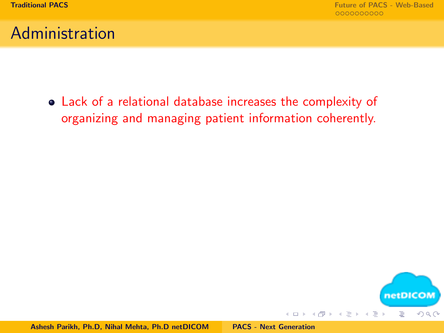## Administration

Lack of a relational database increases the complexity of organizing and managing patient information coherently.

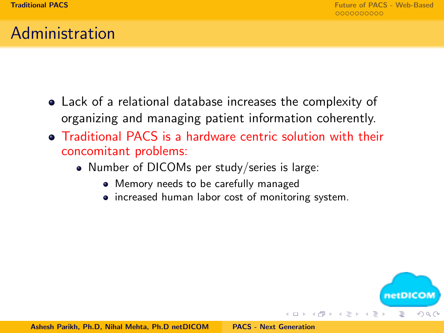netDICON

-4 - 同一 ト

 $\Omega$ 

#### Administration

- Lack of a relational database increases the complexity of organizing and managing patient information coherently.
- Traditional PACS is a hardware centric solution with their concomitant problems:
	- Number of DICOMs per study/series is large:
		- Memory needs to be carefully managed
		- increased human labor cost of monitoring system.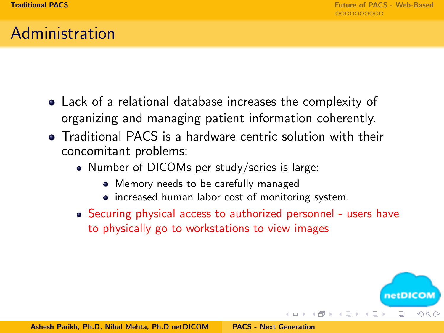## Administration

- Lack of a relational database increases the complexity of organizing and managing patient information coherently.
- Traditional PACS is a hardware centric solution with their concomitant problems:
	- Number of DICOMs per study/series is large:
		- Memory needs to be carefully managed
		- increased human labor cost of monitoring system.
	- Securing physical access to authorized personnel users have to physically go to workstations to view images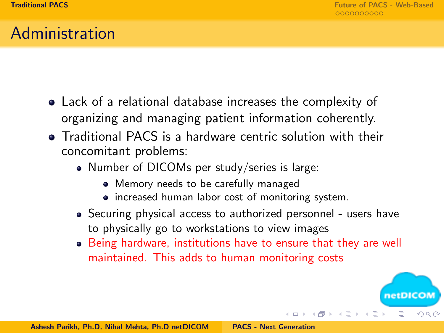netDICOM

つのへ

 $4.71 \times 4.51 \times 4.71 \times$ 

#### Administration

- Lack of a relational database increases the complexity of organizing and managing patient information coherently.
- Traditional PACS is a hardware centric solution with their concomitant problems:
	- Number of DICOMs per study/series is large:
		- Memory needs to be carefully managed
		- increased human labor cost of monitoring system.
	- Securing physical access to authorized personnel users have to physically go to workstations to view images
	- Being hardware, institutions have to ensure that they are well maintained. This adds to human monitoring costs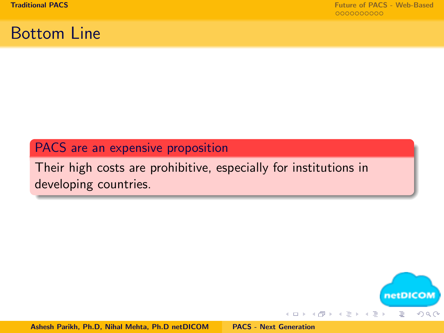## Bottom Line

#### PACS are an expensive proposition

Their high costs are prohibitive, especially for institutions in developing countries.

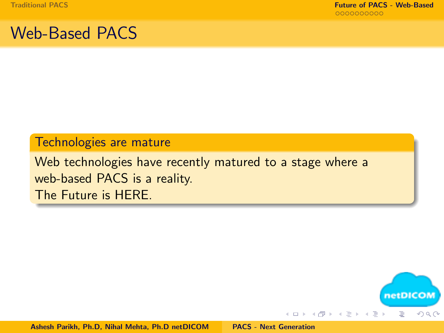## <span id="page-16-0"></span>Web-Based PACS

#### Technologies are mature

Web technologies have recently matured to a stage where a web-based PACS is a reality. The Future is HERE.

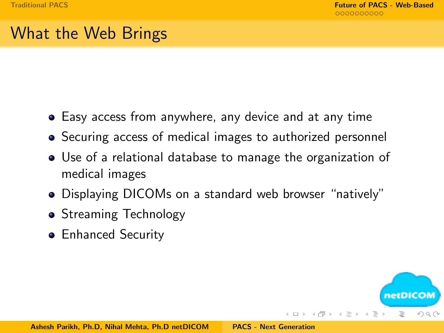netDICO

つのへ

- 4 - 同一ト

the first part

E.

# What the Web Brings

- Easy access from anywhere, any device and at any time
- Securing access of medical images to authorized personnel
- Use of a relational database to manage the organization of medical images
- Displaying DICOMs on a standard web browser "natively"
- Streaming Technology
- **•** Enhanced Security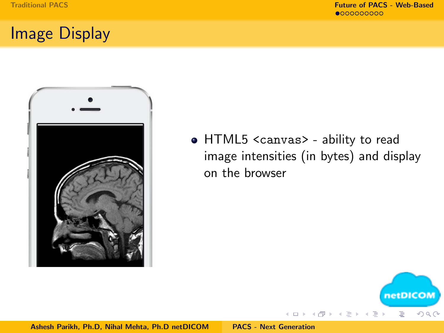## Image Display



HTML5 <canvas> - ability to read image intensities (in bytes) and display on the browser

(ロ) (伊)



Ashesh Parikh, Ph.D, Nihal Mehta, Ph.D netDICOM [PACS - Next Generation](#page-0-0)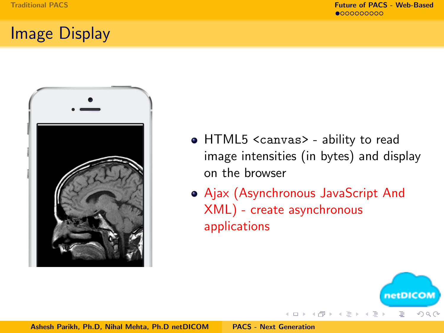# Image Display



- HTML5 <canvas> ability to read image intensities (in bytes) and display on the browser
- Ajax (Asynchronous JavaScript And XML) - create asynchronous applications

 $4.171 \pm$ 

→ 母 →

 $\leftarrow$   $\equiv$ 

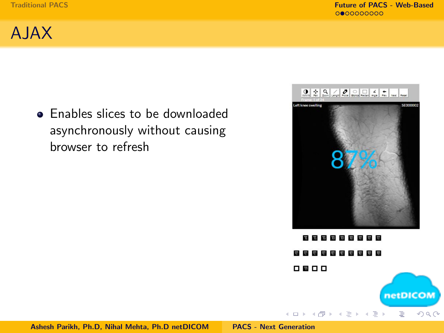

**•** Enables slices to be downloaded asynchronously without causing browser to refresh



**WHIPEREE EDEE EDEE** 0000 netDICOM

イロト イ母 ト イヨ ト イヨ ト

 $\equiv$ 

 $QQ$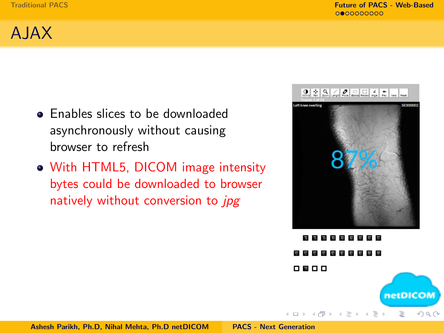

- Enables slices to be downloaded asynchronously without causing browser to refresh
- With HTML5, DICOM image intensity bytes could be downloaded to browser natively without conversion to jpg



**Contract** 0000 netDICOM

→ 伊 ▶ → 走 ▶

 $\leftarrow$   $\Box$   $\rightarrow$ 

 $\rightarrow \equiv$ 

E

 $2Q$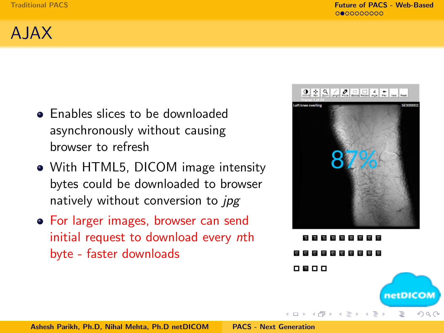# AJAX

- Enables slices to be downloaded asynchronously without causing browser to refresh
- With HTML5, DICOM image intensity bytes could be downloaded to browser natively without conversion to *jpg*
- For larger images, browser can send initial request to download every nth byte - faster downloads



0000 netDICOM

- 4 E +

 $\Omega$ 

→ 伊 ▶ → 王 ▶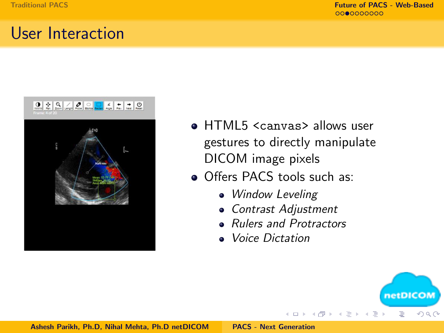#### User Interaction



- **HTML5 <canvas> allows user** gestures to directly manipulate DICOM image pixels
- **Offers PACS tools such as:** 
	- Window Leveling
	- Contrast Adjustment
	- Rulers and Protractors

4 million

→ 伊 ▶

• Voice Dictation

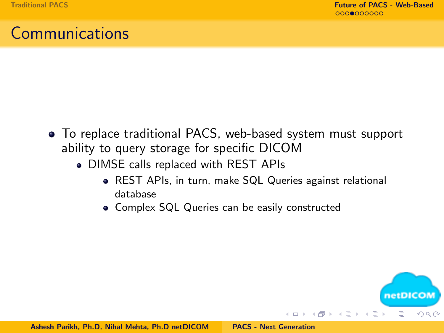## Communications

- To replace traditional PACS, web-based system must support ability to query storage for specific DICOM
	- DIMSE calls replaced with REST APIs
		- REST APIs, in turn, make SQL Queries against relational database
		- Complex SQL Queries can be easily constructed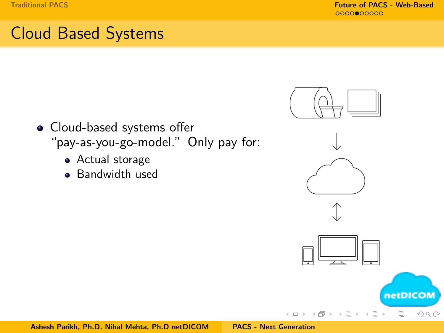# Cloud Based Systems

- Cloud-based systems offer "pay-as-you-go-model." Only pay for:
	- Actual storage
	- **Bandwidth used**







 $4.171 \pm$ 

→ 伊

netDICOM

 $QQ$ 

Ë

€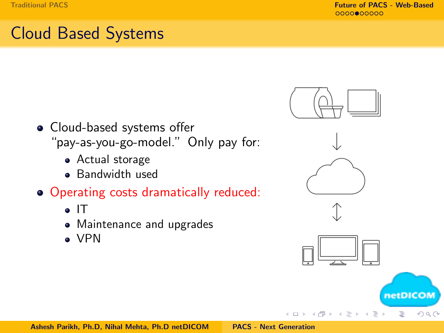# Cloud Based Systems

- Cloud-based systems offer "pay-as-you-go-model." Only pay for:
	- Actual storage
	- **Bandwidth used**
- Operating costs dramatically reduced:
	- $\bullet$  IT
	- Maintenance and upgrades
	- VPN







 $\leftarrow$   $\Box$   $\rightarrow$ 

A

netDICOM E

 $2Q$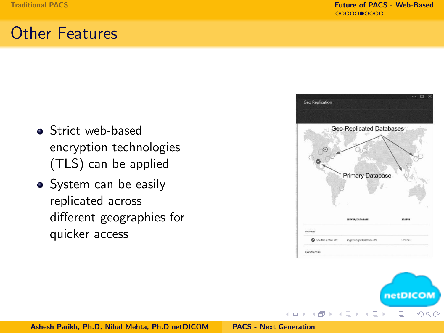## Other Features

- **Strict web-based** encryption technologies (TLS) can be applied
- System can be easily replicated across different geographies for quicker access





 $\leftarrow$   $\Box$   $\rightarrow$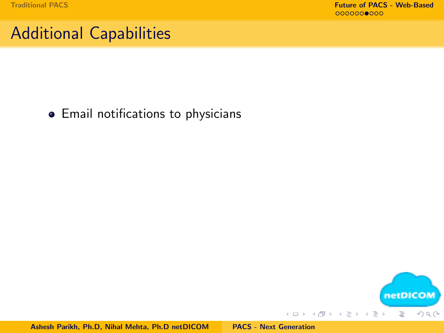# Additional Capabilities

**•** Email notifications to physicians

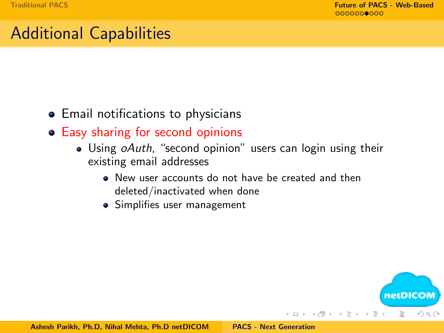netDICOM

 $\Omega$ 

E

E.

# Additional Capabilities

- Email notifications to physicians
- Easy sharing for second opinions
	- Using *oAuth*, "second opinion" users can login using their existing email addresses
		- New user accounts do not have be created and then deleted/inactivated when done
		- Simplifies user management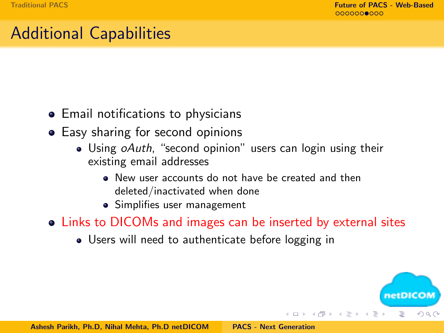# Additional Capabilities

- Email notifications to physicians
- Easy sharing for second opinions
	- Using *oAuth*, "second opinion" users can login using their existing email addresses
		- New user accounts do not have be created and then deleted/inactivated when done
		- Simplifies user management
- Links to DICOMs and images can be inserted by external sites
	- Users will need to authenticate before logging in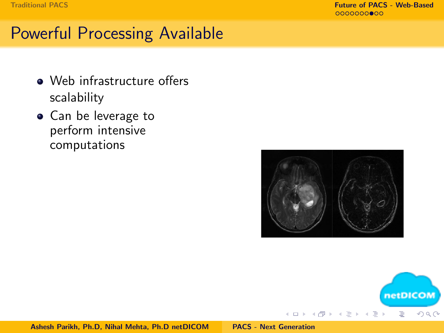[Traditional PACS](#page-3-0) [Future of PACS - Web-Based](#page-16-0)

## Powerful Processing Available

- Web infrastructure offers scalability
- Can be leverage to perform intensive computations



 $\leftarrow$   $\Box$   $\rightarrow$ 

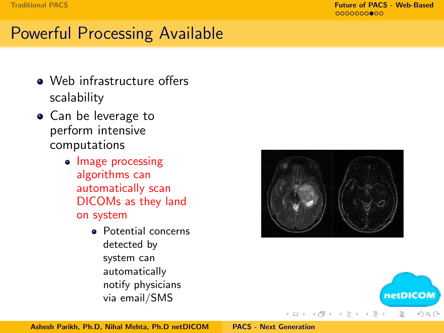[Traditional PACS](#page-3-0) [Future of PACS - Web-Based](#page-16-0)

# Powerful Processing Available

- Web infrastructure offers scalability
- Can be leverage to perform intensive computations
	- Image processing algorithms can automatically scan DICOMs as they land on system
		- Potential concerns detected by system can automatically notify physicians via email/SMS





Ashesh Parikh, Ph.D, Nihal Mehta, Ph.D netDICOM [PACS - Next Generation](#page-0-0)

 $\leftarrow$   $\Box$   $\rightarrow$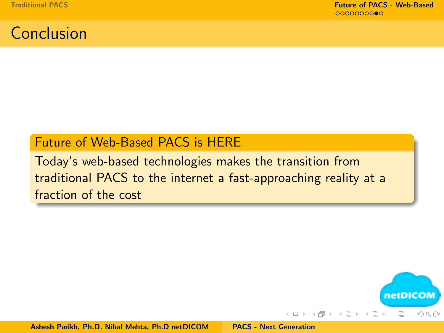#### Conclusion

#### Future of Web-Based PACS is HERE

Today's web-based technologies makes the transition from traditional PACS to the internet a fast-approaching reality at a fraction of the cost